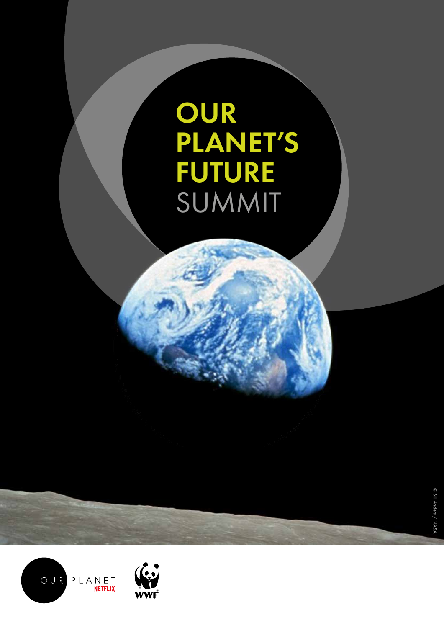# OUR PLANET'S FUTURE SUMMIT

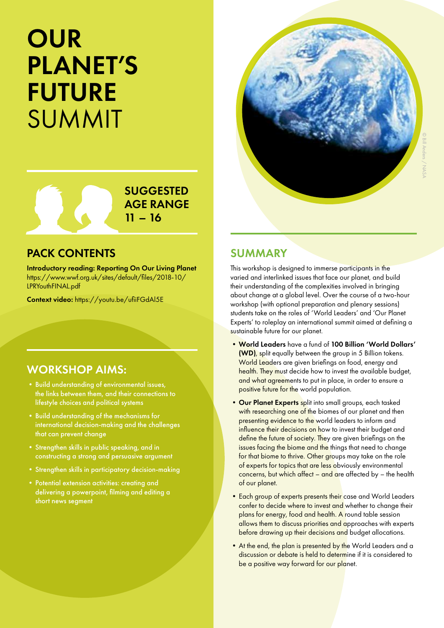# **OUR** PLANET'S FUTURE SUMMIT



SUGGESTED AGE RANGE  $11 - 16$ 

# PACK CONTENTS

Introductory reading: Reporting On Our Living Planet https://www.wwf.org.uk/sites/default/files/2018-10/ LPRYouthFINAL.pdf

Context video: https://youtu.be/ufiiFGdAl5E

# WORKSHOP AIMS:

- •Build understanding of environmental issues, the links between them, and their connections to lifestyle choices and political systems
- •Build understanding of the mechanisms for international decision-making and the challenges that can prevent change
- •Strengthen skills in public speaking, and in constructing a strong and persuasive argument
- •Strengthen skills in participatory decision-making
- •Potential extension activities: creating and delivering a powerpoint, filming and editing a short news segment

# SUMMARY

This workshop is designed to immerse participants in the varied and interlinked issues that face our planet, and build their understanding of the complexities involved in bringing about change at a global level. Over the course of a two-hour workshop (with optional preparation and plenary sessions) students take on the roles of 'World Leaders' and 'Our Planet Experts' to roleplay an international summit aimed at defining a sustainable future for our planet.

- •World Leaders have a fund of 100 Billion 'World Dollars' (WD), split equally between the group in 5 Billion tokens. World Leaders are given briefings on food, energy and health. They must decide how to invest the available budget, and what agreements to put in place, in order to ensure a positive future for the world population.
- Our Planet Experts split into small groups, each tasked with researching one of the biomes of our planet and then presenting evidence to the world leaders to inform and influence their decisions on how to invest their budget and define the future of society. They are given briefings on the issues facing the biome and the things that need to change for that biome to thrive. Other groups may take on the role of experts for topics that are less obviously environmental concerns, but which affect – and are affected by – the health of our planet.
- Each group of experts presents their case and World Leaders confer to decide where to invest and whether to change their plans for energy, food and health. A round table session allows them to discuss priorities and approaches with experts before drawing up their decisions and budget allocations.
- At the end, the plan is presented by the World Leaders and a discussion or debate is held to determine if it is considered to be a positive way forward for our planet.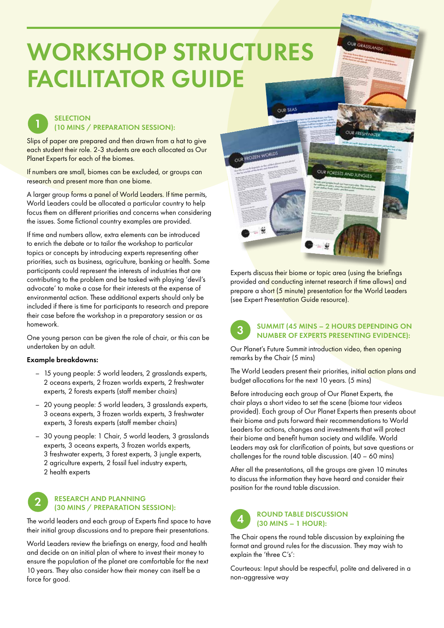# WORKSHOP STRUCTURES FACILITATOR GUIDE



# (10 MINS / PREPARATION SESSION):

Slips of paper are prepared and then drawn from a hat to give each student their role. 2-3 students are each allocated as Our Planet Experts for each of the biomes.

If numbers are small, biomes can be excluded, or groups can research and present more than one biome.

A larger group forms a panel of World Leaders. If time permits, World Leaders could be allocated a particular country to help focus them on different priorities and concerns when considering the issues. Some fictional country examples are provided.

If time and numbers allow, extra elements can be introduced to enrich the debate or to tailor the workshop to particular topics or concepts by introducing experts representing other priorities, such as business, agriculture, banking or health. Some participants could represent the interests of industries that are contributing to the problem and be tasked with playing 'devil's advocate' to make a case for their interests at the expense of environmental action. These additional experts should only be included if there is time for participants to research and prepare their case before the workshop in a preparatory session or as homework.

One young person can be given the role of chair, or this can be undertaken by an adult.

# Example breakdowns:

- 15 young people: 5 world leaders, 2 grasslands experts, 2 oceans experts, 2 frozen worlds experts, 2 freshwater experts, 2 forests experts (staff member chairs)
- 20 young people: 5 world leaders, 3 grasslands experts, 3 oceans experts, 3 frozen worlds experts, 3 freshwater experts, 3 forests experts (staff member chairs)
- 30 young people: 1 Chair, 5 world leaders, 3 grasslands experts, 3 oceans experts, 3 frozen worlds experts, 3 freshwater experts, 3 forest experts, 3 jungle experts, 2 agriculture experts, 2 fossil fuel industry experts, 2 health experts

## RESEARCH AND PLANNING (30 MINS / PREPARATION SESSION): 2

The world leaders and each group of Experts find space to have their initial group discussions and to prepare their presentations.

World Leaders review the briefings on energy, food and health and decide on an initial plan of where to invest their money to ensure the population of the planet are comfortable for the next 10 years. They also consider how their money can itself be a force for good.



Experts discuss their biome or topic area (using the briefings provided and conducting internet research if time allows) and prepare a short (5 minute) presentation for the World Leaders (see Expert Presentation Guide resource).



# SUMMIT (45 MINS – 2 HOURS DEPENDING ON NUMBER OF EXPERTS PRESENTING EVIDENCE):

Our Planet's Future Summit introduction video, then opening remarks by the Chair (5 mins)

The World Leaders present their priorities, initial action plans and budget allocations for the next 10 years. (5 mins)

Before introducing each group of Our Planet Experts, the chair plays a short video to set the scene (biome tour videos provided). Each group of Our Planet Experts then presents about their biome and puts forward their recommendations to World Leaders for actions, changes and investments that will protect their biome and benefit human society and wildlife. World Leaders may ask for clarification of points, but save questions or challenges for the round table discussion. (40 – 60 mins)

After all the presentations, all the groups are given 10 minutes to discuss the information they have heard and consider their position for the round table discussion.



# ROUND TABLE DISCUSSION (30 MINS – 1 HOUR):

The Chair opens the round table discussion by explaining the format and ground rules for the discussion. They may wish to explain the 'three C's':

Courteous: Input should be respectful, polite and delivered in a non-aggressive way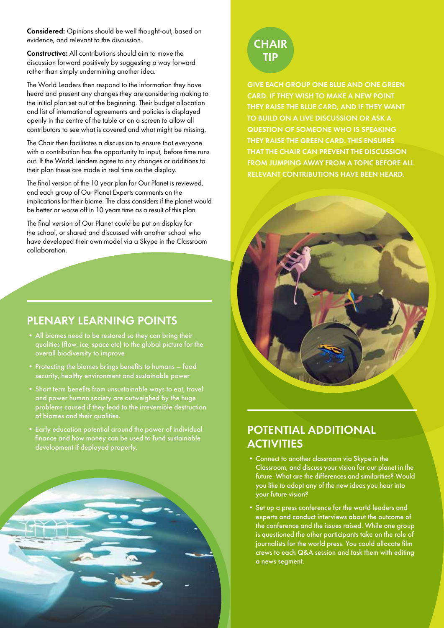Considered: Opinions should be well thought-out, based on evidence, and relevant to the discussion.

Constructive: All contributions should aim to move the discussion forward positively by suggesting a way forward rather than simply undermining another idea.

The World Leaders then respond to the information they have heard and present any changes they are considering making to the initial plan set out at the beginning. Their budget allocation and list of international agreements and policies is displayed openly in the centre of the table or on a screen to allow all contributors to see what is covered and what might be missing.

The Chair then facilitates a discussion to ensure that everyone with a contribution has the opportunity to input, before time runs out. If the World Leaders agree to any changes or additions to their plan these are made in real time on the display.

The final version of the 10 year plan for Our Planet is reviewed, and each group of Our Planet Experts comments on the implications for their biome. The class considers if the planet would be better or worse off in 10 years time as a result of this plan.

The final version of Our Planet could be put on display for the school, or shared and discussed with another school who have developed their own model via a Skype in the Classroom collaboration.

# PLENARY LEARNING POINTS

- •All biomes need to be restored so they can bring their qualities (flow, ice, space etc) to the global picture for the overall biodiversity to improve
- Protecting the biomes brings benefits to humans food security, healthy environment and sustainable power
- •Short term benefits from unsustainable ways to eat, travel and power human society are outweighed by the huge problems caused if they lead to the irreversible destruction of biomes and their qualities.
- •Early education potential around the power of individual finance and how money can be used to fund sustainable development if deployed properly.



# **CHAIR** TIP

GIVE EACH GROUP ONE BLUE AND ONE GREEN CARD. IF THEY WISH TO MAKE A NEW POINT THEY RAISE THE BLUE CARD, AND IF THEY WANT TO BUILD ON A LIVE DISCUSSION OR ASK A QUESTION OF SOMEONE WHO IS SPEAKING THEY RAISE THE GREEN CARD. THIS ENSURES THAT THE CHAIR CAN PREVENT THE DISCUSSION FROM JUMPING AWAY FROM A TOPIC BEFORE ALL RELEVANT CONTRIBUTIONS HAVE BEEN HEARD.



# POTENTIAL ADDITIONAL **ACTIVITIES**

- •Connect to another classroom via Skype in the Classroom, and discuss your vision for our planet in the future. What are the differences and similarities? Would you like to adopt any of the new ideas you hear into your future vision?
- •Set up a press conference for the world leaders and experts and conduct interviews about the outcome of the conference and the issues raised. While one group is questioned the other participants take on the role of journalists for the world press. You could allocate film crews to each Q&A session and task them with editing a news segment.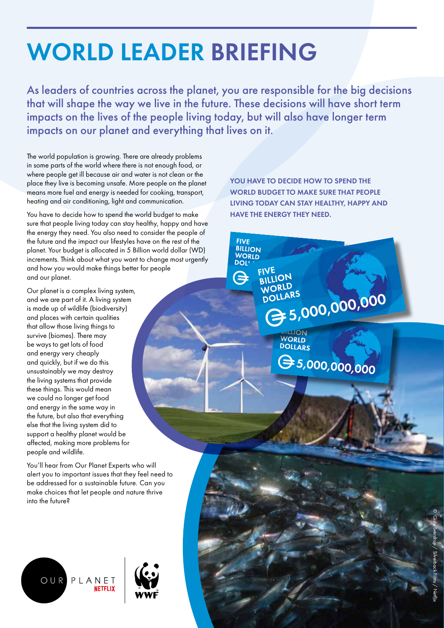# WORLD LEADER BRIEFING

As leaders of countries across the planet, you are responsible for the big decisions that will shape the way we live in the future. These decisions will have short term impacts on the lives of the people living today, but will also have longer term impacts on our planet and everything that lives on it.

> **FIVE BILLION WORLD**<br>DOL'

 $\boldsymbol{\boldsymbol{\ominus}}$ 

**FIVE BILLION** 

WORLD

**NORLL**<br>DOLLARS

The world population is growing. There are already problems in some parts of the world where there is not enough food, or where people get ill because air and water is not clean or the place they live is becoming unsafe. More people on the planet means more fuel and energy is needed for cooking, transport, heating and air conditioning, light and communication.

You have to decide how to spend the world budget to make sure that people living today can stay healthy, happy and have the energy they need. You also need to consider the people of the future and the impact our lifestyles have on the rest of the planet. Your budget is allocated in 5 Billion world dollar (WD) increments. Think about what you want to change most urgently and how you would make things better for people and our planet.

Our planet is a complex living system, and we are part of it. A living system is made up of wildlife (biodiversity) and places with certain qualities that allow those living things to survive (biomes). There may be ways to get lots of food and energy very cheaply and quickly, but if we do this unsustainably we may destroy the living systems that provide these things. This would mean we could no longer get food and energy in the same way in the future, but also that everything else that the living system did to support a healthy planet would be affected, making more problems for people and wildlife.

You'll hear from Our Planet Experts who will alert you to important issues that they feel need to be addressed for a sustainable future. Can you make choices that let people and nature thrive into the future?



YOU HAVE TO DECIDE HOW TO SPEND THE WORLD BUDGET TO MAKE SURE THAT PEOPLE LIVING TODAY CAN STAY HEALTHY, HAPPY AND HAVE THE ENERGY THEY NEED.

> ORLUARS<br>30LLARS<br>35,000,000,000 **WORLD DOLLARS**

 $G_{5,000,000,000}$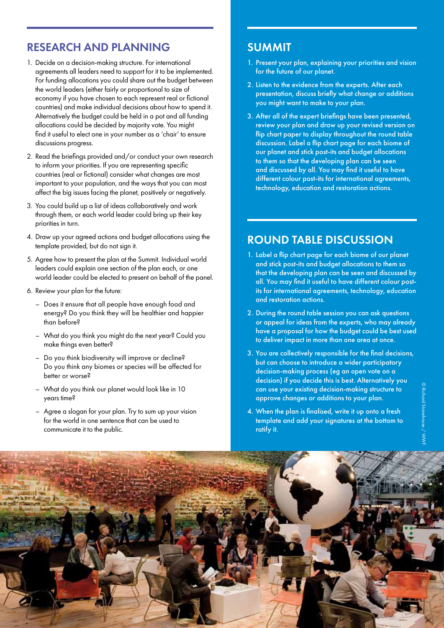# RESEARCH AND PLANNING

- 1. Decide on a decision-making structure. For international agreements all leaders need to support for it to be implemented. For funding allocations you could share out the budget between the world leaders (either fairly or proportional to size of economy if you have chosen to each represent real or fictional countries) and make individual decisions about how to spend it. Alternatively the budget could be held in a pot and all funding allocations could be decided by majority vote. You might find it useful to elect one in your number as a 'chair' to ensure discussions progress.
- 2. Read the briefings provided and/or conduct your own research to inform your priorities. If you are representing specific countries (real or fictional) consider what changes are most important to your population, and the ways that you can most affect the big issues facing the planet, positively or negatively.
- 3. You could build up a list of ideas collaboratively and work through them, or each world leader could bring up their key priorities in turn.
- 4. Draw up your agreed actions and budget allocations using the template provided, but do not sign it.
- 5. Agree how to present the plan at the Summit. Individual world leaders could explain one section of the plan each, or one world leader could be elected to present on behalf of the panel.
- 6. Review your plan for the future:
	- Does it ensure that all people have enough food and energy? Do you think they will be healthier and happier than before?
	- What do you think you might do the next year? Could you make things even better?
	- Do you think biodiversity will improve or decline? Do you think any biomes or species will be affected for better or worse?
	- What do you think our planet would look like in 10 years time?
	- Agree a slogan for your plan. Try to sum up your vision for the world in one sentence that can be used to communicate it to the public.

# SUMMIT

- 1. Present your plan, explaining your priorities and vision for the future of our planet.
- 2. Listen to the evidence from the experts. After each presentation, discuss briefly what change or additions you might want to make to your plan.
- 3. After all of the expert briefings have been presented, review your plan and draw up your revised version on flip chart paper to display throughout the round table discussion. Label a flip chart page for each biome of our planet and stick post-its and budget allocations to them so that the developing plan can be seen and discussed by all. You may find it useful to have different colour post-its for international agreements, technology, education and restoration actions.

# ROUND TABLE DISCUSSION

- 1. Label a flip chart page for each biome of our planet and stick post-its and budget allocations to them so that the developing plan can be seen and discussed by all. You may find it useful to have different colour postits for international agreements, technology, education and restoration actions.
- 2. During the round table session you can ask questions or appeal for ideas from the experts, who may already have a proposal for how the budget could be best used to deliver impact in more than one area at once.
- 3. You are collectively responsible for the final decisions, but can choose to introduce a wider participatory decision-making process (eg an open vote on a decision) if you decide this is best. Alternatively you can use your existing decision-making structure to approve changes or additions to your plan.
- 4. When the plan is finalised, write it up onto a fresh template and add your signatures at the bottom to ratify it.

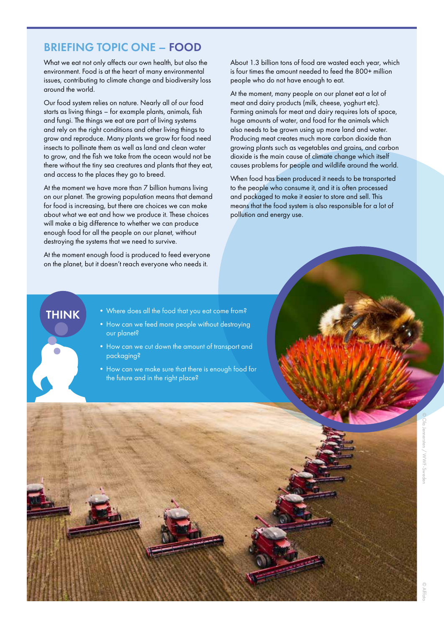# BRIEFING TOPIC ONE – FOOD

What we eat not only affects our own health, but also the environment. Food is at the heart of many environmental issues, contributing to climate change and biodiversity loss around the world.

Our food system relies on nature. Nearly all of our food starts as living things – for example plants, animals, fish and fungi. The things we eat are part of living systems and rely on the right conditions and other living things to grow and reproduce. Many plants we grow for food need insects to pollinate them as well as land and clean water to grow, and the fish we take from the ocean would not be there without the tiny sea creatures and plants that they eat, and access to the places they go to breed.

At the moment we have more than 7 billion humans living on our planet. The growing population means that demand for food is increasing, but there are choices we can make about what we eat and how we produce it. These choices will make a big difference to whether we can produce enough food for all the people on our planet, without destroying the systems that we need to survive.

At the moment enough food is produced to feed everyone on the planet, but it doesn't reach everyone who needs it.

About 1.3 billion tons of food are wasted each year, which is four times the amount needed to feed the 800+ million people who do not have enough to eat.

At the moment, many people on our planet eat a lot of meat and dairy products (milk, cheese, yoghurt etc). Farming animals for meat and dairy requires lots of space, huge amounts of water, and food for the animals which also needs to be grown using up more land and water. Producing meat creates much more carbon dioxide than growing plants such as vegetables and grains, and carbon dioxide is the main cause of climate change which itself causes problems for people and wildlife around the world.

When food has been produced it needs to be transported to the people who consume it, and it is often processed and packaged to make it easier to store and sell. This means that the food system is also responsible for a lot of pollution and energy use.

- **THINK** Where does all the food that you eat come from?
	- How can we feed more people without destroying our planet?
	- How can we cut down the amount of transport and packaging?
	- How can we make sure that there is enough food for the future and in the right place?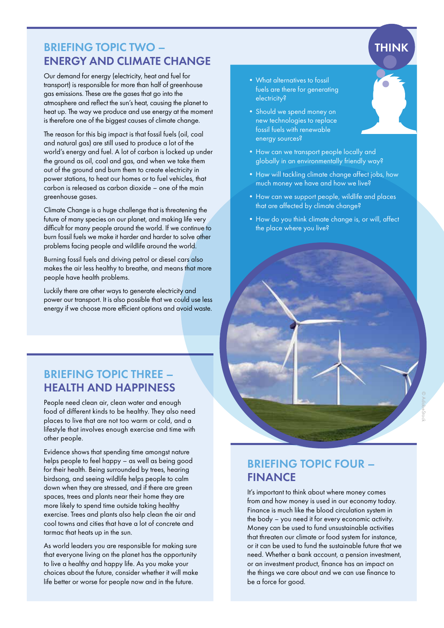# BRIEFING TOPIC TWO – ENERGY AND CLIMATE CHANGE

Our demand for energy (electricity, heat and fuel for transport) is responsible for more than half of greenhouse gas emissions. These are the gases that go into the atmosphere and reflect the sun's heat, causing the planet to heat up. The way we produce and use energy at the moment is therefore one of the biggest causes of climate change.

The reason for this big impact is that fossil fuels (oil, coal and natural gas) are still used to produce a lot of the world's energy and fuel. A lot of carbon is locked up under the ground as oil, coal and gas, and when we take them out of the ground and burn them to create electricity in power stations, to heat our homes or to fuel vehicles, that carbon is released as carbon dioxide – one of the main greenhouse gases.

Climate Change is a huge challenge that is threatening the future of many species on our planet, and making life very difficult for many people around the world. If we continue to burn fossil fuels we make it harder and harder to solve other problems facing people and wildlife around the world.

Burning fossil fuels and driving petrol or diesel cars also makes the air less healthy to breathe, and means that more people have health problems.

Luckily there are other ways to generate electricity and power our transport. It is also possible that we could use less energy if we choose more efficient options and avoid waste.

# BRIEFING TOPIC THREE – HEALTH AND HAPPINESS

People need clean air, clean water and enough food of different kinds to be healthy. They also need places to live that are not too warm or cold, and a lifestyle that involves enough exercise and time with other people.

Evidence shows that spending time amongst nature helps people to feel happy – as well as being good for their health. Being surrounded by trees, hearing birdsong, and seeing wildlife helps people to calm down when they are stressed, and if there are areen spaces, trees and plants near their home they are more likely to spend time outside taking healthy exercise. Trees and plants also help clean the air and cool towns and cities that have a lot of concrete and tarmac that heats up in the sun.

As world leaders you are responsible for making sure that everyone living on the planet has the opportunity to live a healthy and happy life. As you make your choices about the future, consider whether it will make life better or worse for people now and in the future.

- •What alternatives to fossil fuels are there for generating electricity?
- Should we spend money on new technologies to replace fossil fuels with renewable energy sources?
- How can we transport people locally and globally in an environmentally friendly way?
- How will tackling climate change affect jobs, how much money we have and how we live?

**THINK** 

- How can we support people, wildlife and places that are affected by climate change?
- •How do you think climate change is, or will, affect the place where you live?

# BRIEFING TOPIC FOUR – FINANCE

It's important to think about where money comes from and how money is used in our economy today. Finance is much like the blood circulation system in the body – you need it for every economic activity. Money can be used to fund unsustainable activities that threaten our climate or food system for instance, or it can be used to fund the sustainable future that we need. Whether a bank account, a pension investment, or an investment product, finance has an impact on the things we care about and we can use finance to be a force for good.

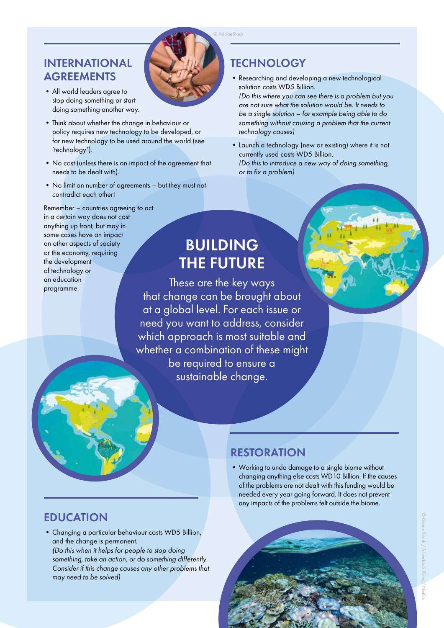# INTERNATIONAL **AGREEMENTS**

- •All world leaders agree to stop doing something or start doing something another way.
- •Think about whether the change in behaviour or policy requires new technology to be developed, or for new technology to be used around the world (see 'technology').
- •No cost (unless there is an impact of the agreement that needs to be dealt with).
- •No limit on number of agreements but they must not contradict each other!

# Remember – countries agreeing to act in a certain way does not cost anything up front, but may in some cases have an impact on other aspects of society or the economy, requiring the development of technology or an education programme.

# **TECHNOLOGY**

•Researching and developing a new technological solution costs WD5 Billion. *(Do this where you can see there is a problem but you* 

*are not sure what the solution would be. It needs to be a single solution – for example being able to do something without causing a problem that the current technology causes)*

•Launch a technology (new or existing) where it is not currently used costs WD5 Billion. *(Do this to introduce a new way of doing something, or to fix a problem)*

# BUILDING THE FUTURE

These are the key ways that change can be brought about at a global level. For each issue or need you want to address, consider which approach is most suitable and whether a combination of these might be required to ensure a sustainable change.

# RESTORATION

•Working to undo damage to a single biome without changing anything else costs WD10 Billion. If the causes of the problems are not dealt with this funding would be needed every year going forward. It does not prevent any impacts of the problems felt outside the biome.

# EDUCATION

•Changing a particular behaviour costs WD5 Billion, and the change is permanent. *(Do this when it helps for people to stop doing something, take an action, or do something differently.* 

*Consider if this change causes any other problems that may need to be solved)*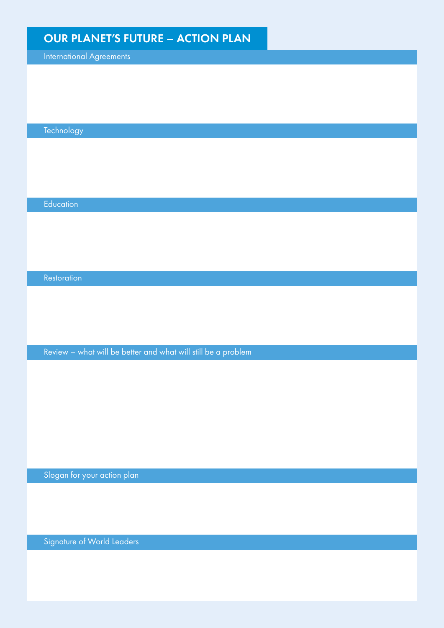# OUR PLANET'S FUTURE – ACTION PLAN

International Agreements

Technology

**Education** 

**Restoration** 

Review – what will be better and what will still be a problem

Slogan for your action plan

Signature of World Leaders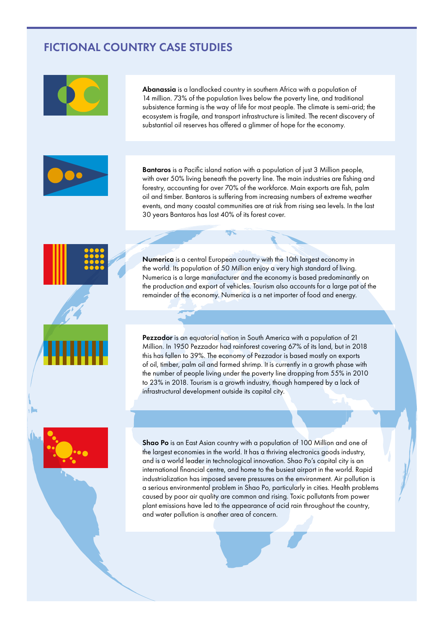# FICTIONAL COUNTRY CASE STUDIES



Abanassia is a landlocked country in southern Africa with a population of 14 million. 73% of the population lives below the poverty line, and traditional subsistence farming is the way of life for most people. The climate is semi-arid; the ecosystem is fragile, and transport infrastructure is limited. The recent discovery of substantial oil reserves has offered a glimmer of hope for the economy.



Bantaros is a Pacific island nation with a population of just 3 Million people, with over 50% living beneath the poverty line. The main industries are fishing and forestry, accounting for over 70% of the workforce. Main exports are fish, palm oil and timber. Bantaros is suffering from increasing numbers of extreme weather events, and many coastal communities are at risk from rising sea levels. In the last 30 years Bantaros has lost 40% of its forest cover.

Numerica is a central European country with the 10th largest economy in the world. Its population of 50 Million enjoy a very high standard of living. Numerica is a large manufacturer and the economy is based predominantly on the production and export of vehicles. Tourism also accounts for a large pat of the remainder of the economy. Numerica is a net importer of food and energy.

Pezzador is an equatorial nation in South America with a population of 21 Million. In 1950 Pezzador had rainforest covering 67% of its land, but in 2018 this has fallen to 39%. The economy of Pezzador is based mostly on exports of oil, timber, palm oil and farmed shrimp. It is currently in a growth phase with the number of people living under the poverty line dropping from 55% in 2010 to 23% in 2018. Tourism is a growth industry, though hampered by a lack of infrastructural development outside its capital city.



Shao Po is an East Asian country with a population of 100 Million and one of the largest economies in the world. It has a thriving electronics goods industry, and is a world leader in technological innovation. Shao Po's capital city is an international financial centre, and home to the busiest airport in the world. Rapid industrialization has imposed severe pressures on the environment. Air pollution is a serious environmental problem in Shao Po, particularly in cities. Health problems caused by poor air quality are common and rising. Toxic pollutants from power plant emissions have led to the appearance of acid rain throughout the country, and water pollution is another area of concern.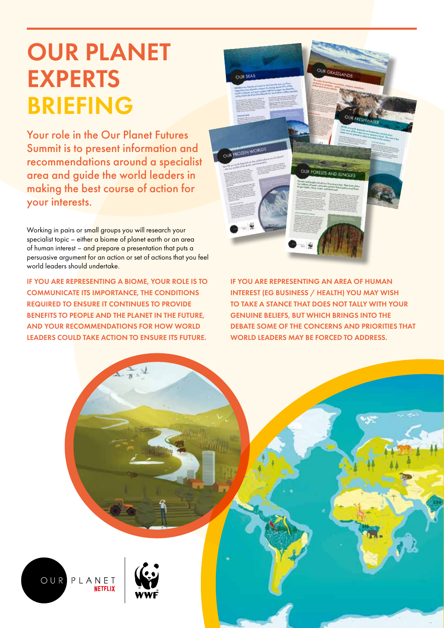# OUR PLANET EXPERTS BRIEFING

Your role in the Our Planet Futures Summit is to present information and recommendations around a specialist area and guide the world leaders in making the best course of action for your interests.

Working in pairs or small groups you will research your specialist topic – either a biome of planet earth or an area of human interest – and prepare a presentation that puts a persuasive argument for an action or set of actions that you feel world leaders should undertake.

IF YOU ARE REPRESENTING A BIOME, YOUR ROLE IS TO COMMUNICATE ITS IMPORTANCE, THE CONDITIONS REQUIRED TO ENSURE IT CONTINUES TO PROVIDE BENEFITS TO PEOPLE AND THE PLANET IN THE FUTURE, AND YOUR RECOMMENDATIONS FOR HOW WORLD LEADERS COULD TAKE ACTION TO ENSURE ITS FUTURE.



IF YOU ARE REPRESENTING AN AREA OF HUMAN INTEREST (EG BUSINESS / HEALTH) YOU MAY WISH TO TAKE A STANCE THAT DOES NOT TALLY WITH YOUR GENUINE BELIEFS, BUT WHICH BRINGS INTO THE DEBATE SOME OF THE CONCERNS AND PRIORITIES THAT WORLD LEADERS MAY BE FORCED TO ADDRESS.

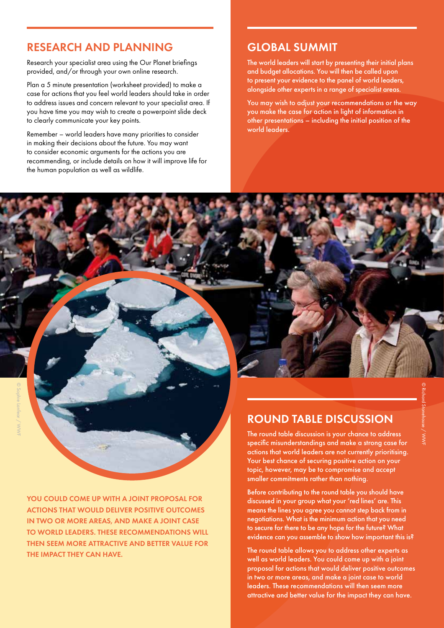# RESEARCH AND PLANNING

Research your specialist area using the Our Planet briefings provided, and/or through your own online research.

Plan a 5 minute presentation (worksheet provided) to make a case for actions that you feel world leaders should take in order to address issues and concern relevant to your specialist area. If you have time you may wish to create a powerpoint slide deck to clearly communicate your key points.

Remember – world leaders have many priorities to consider in making their decisions about the future. You may want to consider economic arguments for the actions you are recommending, or include details on how it will improve life for the human population as well as wildlife.

# GLOBAL SUMMIT

The world leaders will start by presenting their initial plans and budget allocations. You will then be called upon to present your evidence to the panel of world leaders, alongside other experts in a range of specialist areas.

You may wish to adjust your recommendations or the way you make the case for action in light of information in other presentations – including the initial position of the world leaders.

YOU COULD COME UP WITH A JOINT PROPOSAL FOR ACTIONS THAT WOULD DELIVER POSITIVE OUTCOMES IN TWO OR MORE AREAS, AND MAKE A JOINT CASE TO WORLD LEADERS. THESE RECOMMENDATIONS WILL THEN SEEM MORE ATTRACTIVE AND BETTER VALUE FOR THE IMPACT THEY CAN HAVE.

# ROUND TABLE DISCUSSION

The round table discussion is your chance to address specific misunderstandings and make a strong case for actions that world leaders are not currently prioritising. Your best chance of securing positive action on your topic, however, may be to compromise and accept smaller commitments rather than nothing.

Before contributing to the round table you should have discussed in your group what your 'red lines' are. This means the lines you agree you cannot step back from in negotiations. What is the minimum action that you need to secure for there to be any hope for the future? What evidence can you assemble to show how important this is?

The round table allows you to address other experts as well as world leaders. You could come up with a joint proposal for actions that would deliver positive outcomes in two or more areas, and make a joint case to world leaders. These recommendations will then seem more attractive and better value for the impact they can have.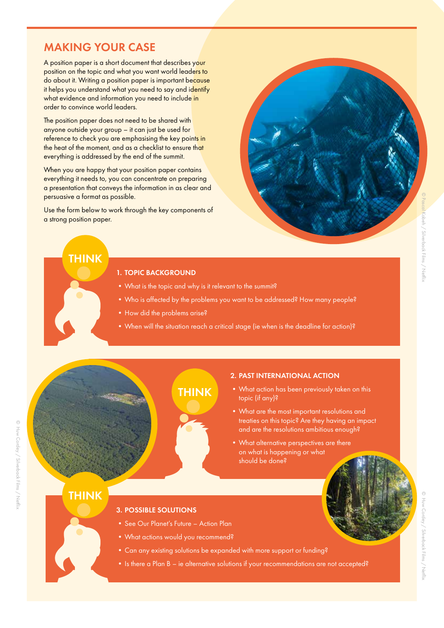# MAKING YOUR CASE

A position paper is a short document that describes your position on the topic and what you want world leaders to do about it. Writing a position paper is important because it helps you understand what you need to say and identify what evidence and information you need to include in order to convince world leaders.

The position paper does not need to be shared with anyone outside your group – it can just be used for reference to check you are emphasising the key points in the heat of the moment, and as a checklist to ensure that everything is addressed by the end of the summit.

When you are happy that your position paper contains everything it needs to, you can concentrate on preparing a presentation that conveys the information in as clear and persuasive a format as possible.

Use the form below to work through the key components of a strong position paper.

# © Pascal Kobeh / Silverback Films / Netflix

# 1. TOPIC BACKGROUND

- •What is the topic and why is it relevant to the summit?
- Who is affected by the problems you want to be addressed? How many people?
- How did the problems arise?
- When will the situation reach a critical stage (ie when is the deadline for action)?

© Huw Cordey / Silverback Films / Netflix

© Huw Cordey / Silverback Films / Neffix

# THINK

# 2. PAST INTERNATIONAL ACTION

- •What action has been previously taken on this topic (if any)?
- •What are the most important resolutions and treaties on this topic? Are they having an impact and are the resolutions ambitious enough?
- •What alternative perspectives are there on what is happening or what should be done?

# **THINK**

THINK

# 3. POSSIBLE SOLUTIONS

- See Our Planet's Future Action Plan
- •What actions would you recommend?
- •Can any existing solutions be expanded with more support or funding?
- Is there a Plan B ie alternative solutions if your recommendations are not accepted?

© Huw Cordey / Silverback Films / Netflix/ Silverback Films / Nettil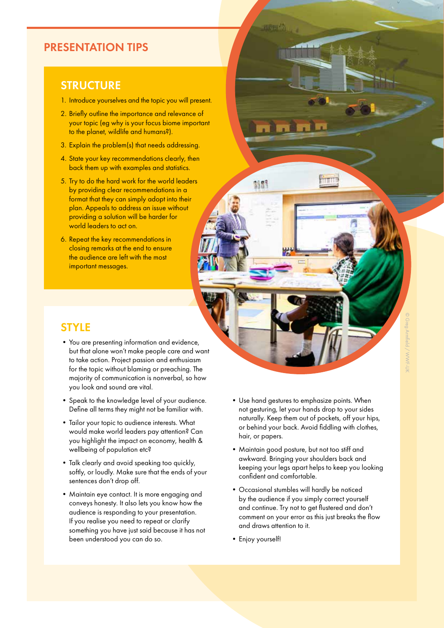# PRESENTATION TIPS

# **STRUCTURE**

- 1. Introduce yourselves and the topic you will present.
- 2. Briefly outline the importance and relevance of your topic (eg why is your focus biome important to the planet, wildlife and humans?).
- 3. Explain the problem(s) that needs addressing.
- 4. State your key recommendations clearly, then back them up with examples and statistics.
- 5. Try to do the hard work for the world leaders by providing clear recommendations in a format that they can simply adopt into their plan. Appeals to address an issue without providing a solution will be harder for world leaders to act on.
- 6. Repeat the key recommendations in closing remarks at the end to ensure the audience are left with the most important messages.

# **STYLE**

- •You are presenting information and evidence, but that alone won't make people care and want to take action. Project passion and enthusiasm for the topic without blaming or preaching. The majority of communication is nonverbal, so how you look and sound are vital.
- •Speak to the knowledge level of your audience. Define all terms they might not be familiar with.
- •Tailor your topic to audience interests. What would make world leaders pay attention? Can you highlight the impact on economy, health & wellbeing of population etc?
- •Talk clearly and avoid speaking too quickly, softly, or loudly. Make sure that the ends of your sentences don't drop off.
- •Maintain eye contact. It is more engaging and conveys honesty. It also lets you know how the audience is responding to your presentation. If you realise you need to repeat or clarify something you have just said because it has not been understood you can do so.
- •Use hand gestures to emphasize points. When not gesturing, let your hands drop to your sides naturally. Keep them out of pockets, off your hips, or behind your back. Avoid fiddling with clothes, hair, or papers.
- •Maintain good posture, but not too stiff and awkward. Bringing your shoulders back and keeping your legs apart helps to keep you looking confident and comfortable.
- •Occasional stumbles will hardly be noticed by the audience if you simply correct yourself and continue. Try not to get flustered and don't comment on your error as this just breaks the flow and draws attention to it.
- •Enjoy yourself!

**朝野**